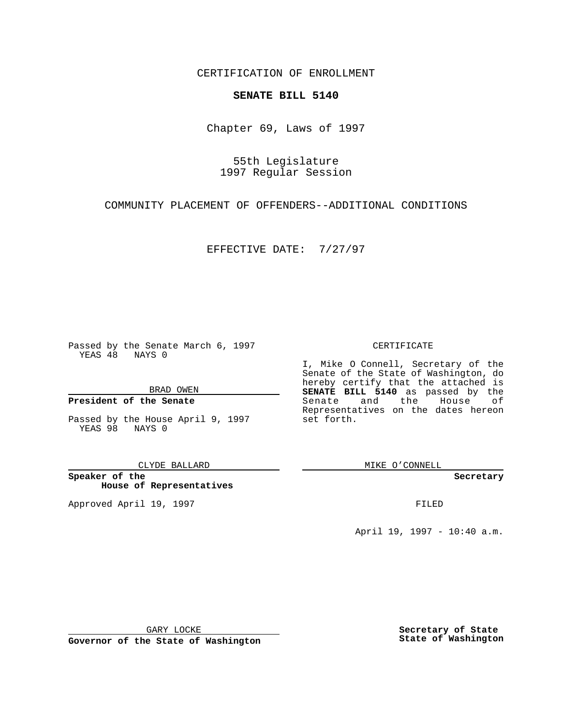CERTIFICATION OF ENROLLMENT

# **SENATE BILL 5140**

Chapter 69, Laws of 1997

55th Legislature 1997 Regular Session

COMMUNITY PLACEMENT OF OFFENDERS--ADDITIONAL CONDITIONS

EFFECTIVE DATE: 7/27/97

Passed by the Senate March 6, 1997 YEAS 48 NAYS 0

BRAD OWEN

### **President of the Senate**

Passed by the House April 9, 1997 YEAS 98 NAYS 0

CLYDE BALLARD

**Speaker of the House of Representatives**

Approved April 19, 1997 **FILED** 

### CERTIFICATE

I, Mike O Connell, Secretary of the Senate of the State of Washington, do hereby certify that the attached is **SENATE BILL 5140** as passed by the Senate and the House of Representatives on the dates hereon set forth.

MIKE O'CONNELL

**Secretary**

April 19, 1997 - 10:40 a.m.

GARY LOCKE

**Governor of the State of Washington**

**Secretary of State State of Washington**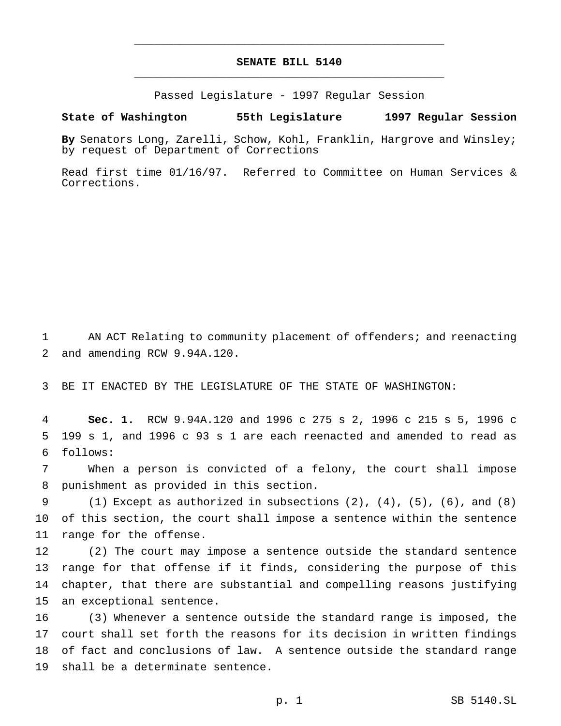# **SENATE BILL 5140** \_\_\_\_\_\_\_\_\_\_\_\_\_\_\_\_\_\_\_\_\_\_\_\_\_\_\_\_\_\_\_\_\_\_\_\_\_\_\_\_\_\_\_\_\_\_\_

\_\_\_\_\_\_\_\_\_\_\_\_\_\_\_\_\_\_\_\_\_\_\_\_\_\_\_\_\_\_\_\_\_\_\_\_\_\_\_\_\_\_\_\_\_\_\_

Passed Legislature - 1997 Regular Session

#### **State of Washington 55th Legislature 1997 Regular Session**

**By** Senators Long, Zarelli, Schow, Kohl, Franklin, Hargrove and Winsley; by request of Department of Corrections

Read first time 01/16/97. Referred to Committee on Human Services & Corrections.

 AN ACT Relating to community placement of offenders; and reenacting and amending RCW 9.94A.120.

BE IT ENACTED BY THE LEGISLATURE OF THE STATE OF WASHINGTON:

 **Sec. 1.** RCW 9.94A.120 and 1996 c 275 s 2, 1996 c 215 s 5, 1996 c 199 s 1, and 1996 c 93 s 1 are each reenacted and amended to read as follows:

 When a person is convicted of a felony, the court shall impose punishment as provided in this section.

 (1) Except as authorized in subsections (2), (4), (5), (6), and (8) of this section, the court shall impose a sentence within the sentence range for the offense.

 (2) The court may impose a sentence outside the standard sentence range for that offense if it finds, considering the purpose of this chapter, that there are substantial and compelling reasons justifying an exceptional sentence.

 (3) Whenever a sentence outside the standard range is imposed, the court shall set forth the reasons for its decision in written findings of fact and conclusions of law. A sentence outside the standard range shall be a determinate sentence.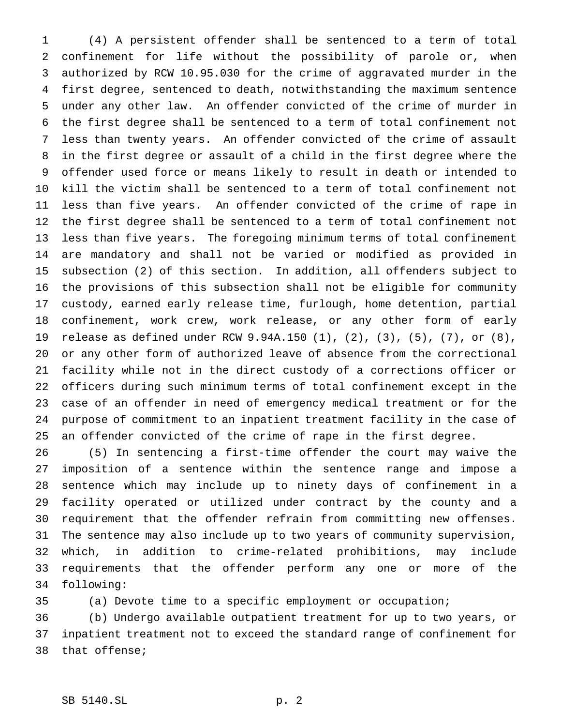(4) A persistent offender shall be sentenced to a term of total confinement for life without the possibility of parole or, when authorized by RCW 10.95.030 for the crime of aggravated murder in the first degree, sentenced to death, notwithstanding the maximum sentence under any other law. An offender convicted of the crime of murder in the first degree shall be sentenced to a term of total confinement not less than twenty years. An offender convicted of the crime of assault in the first degree or assault of a child in the first degree where the offender used force or means likely to result in death or intended to kill the victim shall be sentenced to a term of total confinement not less than five years. An offender convicted of the crime of rape in the first degree shall be sentenced to a term of total confinement not less than five years. The foregoing minimum terms of total confinement are mandatory and shall not be varied or modified as provided in subsection (2) of this section. In addition, all offenders subject to the provisions of this subsection shall not be eligible for community custody, earned early release time, furlough, home detention, partial confinement, work crew, work release, or any other form of early release as defined under RCW 9.94A.150 (1), (2), (3), (5), (7), or (8), or any other form of authorized leave of absence from the correctional facility while not in the direct custody of a corrections officer or officers during such minimum terms of total confinement except in the case of an offender in need of emergency medical treatment or for the purpose of commitment to an inpatient treatment facility in the case of an offender convicted of the crime of rape in the first degree.

 (5) In sentencing a first-time offender the court may waive the imposition of a sentence within the sentence range and impose a sentence which may include up to ninety days of confinement in a facility operated or utilized under contract by the county and a requirement that the offender refrain from committing new offenses. The sentence may also include up to two years of community supervision, which, in addition to crime-related prohibitions, may include requirements that the offender perform any one or more of the following:

(a) Devote time to a specific employment or occupation;

 (b) Undergo available outpatient treatment for up to two years, or inpatient treatment not to exceed the standard range of confinement for that offense;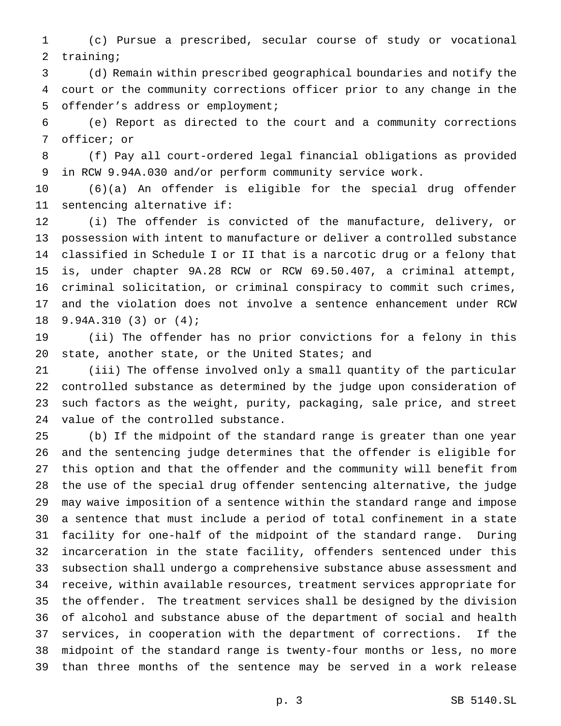(c) Pursue a prescribed, secular course of study or vocational training;

 (d) Remain within prescribed geographical boundaries and notify the court or the community corrections officer prior to any change in the offender's address or employment;

 (e) Report as directed to the court and a community corrections officer; or

 (f) Pay all court-ordered legal financial obligations as provided in RCW 9.94A.030 and/or perform community service work.

 (6)(a) An offender is eligible for the special drug offender sentencing alternative if:

 (i) The offender is convicted of the manufacture, delivery, or possession with intent to manufacture or deliver a controlled substance classified in Schedule I or II that is a narcotic drug or a felony that is, under chapter 9A.28 RCW or RCW 69.50.407, a criminal attempt, criminal solicitation, or criminal conspiracy to commit such crimes, and the violation does not involve a sentence enhancement under RCW 9.94A.310 (3) or (4);

 (ii) The offender has no prior convictions for a felony in this 20 state, another state, or the United States; and

 (iii) The offense involved only a small quantity of the particular controlled substance as determined by the judge upon consideration of such factors as the weight, purity, packaging, sale price, and street value of the controlled substance.

 (b) If the midpoint of the standard range is greater than one year and the sentencing judge determines that the offender is eligible for this option and that the offender and the community will benefit from the use of the special drug offender sentencing alternative, the judge may waive imposition of a sentence within the standard range and impose a sentence that must include a period of total confinement in a state facility for one-half of the midpoint of the standard range. During incarceration in the state facility, offenders sentenced under this subsection shall undergo a comprehensive substance abuse assessment and receive, within available resources, treatment services appropriate for the offender. The treatment services shall be designed by the division of alcohol and substance abuse of the department of social and health services, in cooperation with the department of corrections. If the midpoint of the standard range is twenty-four months or less, no more than three months of the sentence may be served in a work release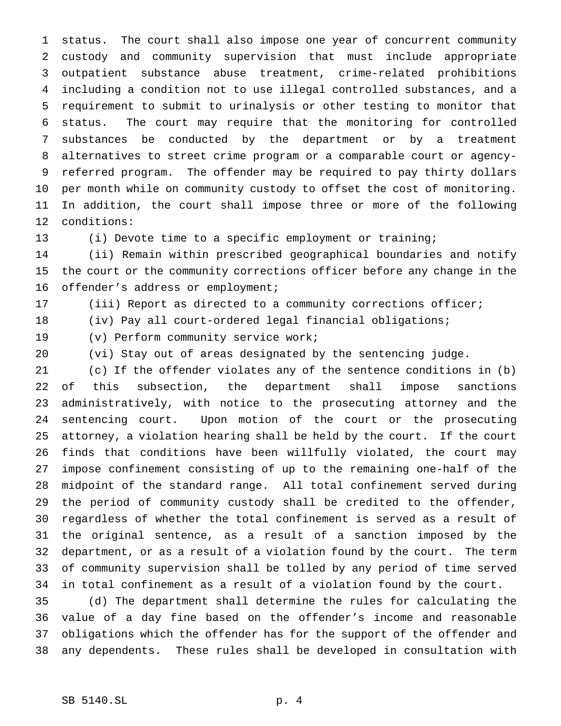status. The court shall also impose one year of concurrent community custody and community supervision that must include appropriate outpatient substance abuse treatment, crime-related prohibitions including a condition not to use illegal controlled substances, and a requirement to submit to urinalysis or other testing to monitor that status. The court may require that the monitoring for controlled substances be conducted by the department or by a treatment alternatives to street crime program or a comparable court or agency- referred program. The offender may be required to pay thirty dollars per month while on community custody to offset the cost of monitoring. In addition, the court shall impose three or more of the following conditions:

(i) Devote time to a specific employment or training;

 (ii) Remain within prescribed geographical boundaries and notify the court or the community corrections officer before any change in the offender's address or employment;

(iii) Report as directed to a community corrections officer;

(iv) Pay all court-ordered legal financial obligations;

(v) Perform community service work;

(vi) Stay out of areas designated by the sentencing judge.

 (c) If the offender violates any of the sentence conditions in (b) of this subsection, the department shall impose sanctions administratively, with notice to the prosecuting attorney and the sentencing court. Upon motion of the court or the prosecuting attorney, a violation hearing shall be held by the court. If the court finds that conditions have been willfully violated, the court may impose confinement consisting of up to the remaining one-half of the midpoint of the standard range. All total confinement served during the period of community custody shall be credited to the offender, regardless of whether the total confinement is served as a result of the original sentence, as a result of a sanction imposed by the department, or as a result of a violation found by the court. The term of community supervision shall be tolled by any period of time served in total confinement as a result of a violation found by the court.

 (d) The department shall determine the rules for calculating the value of a day fine based on the offender's income and reasonable obligations which the offender has for the support of the offender and any dependents. These rules shall be developed in consultation with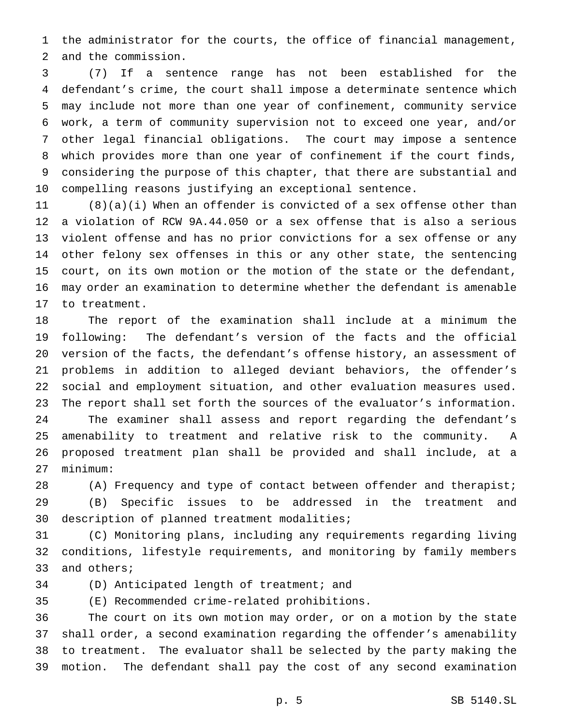the administrator for the courts, the office of financial management, and the commission.

 (7) If a sentence range has not been established for the defendant's crime, the court shall impose a determinate sentence which may include not more than one year of confinement, community service work, a term of community supervision not to exceed one year, and/or other legal financial obligations. The court may impose a sentence which provides more than one year of confinement if the court finds, considering the purpose of this chapter, that there are substantial and compelling reasons justifying an exceptional sentence.

 (8)(a)(i) When an offender is convicted of a sex offense other than a violation of RCW 9A.44.050 or a sex offense that is also a serious violent offense and has no prior convictions for a sex offense or any other felony sex offenses in this or any other state, the sentencing court, on its own motion or the motion of the state or the defendant, may order an examination to determine whether the defendant is amenable to treatment.

 The report of the examination shall include at a minimum the following: The defendant's version of the facts and the official version of the facts, the defendant's offense history, an assessment of problems in addition to alleged deviant behaviors, the offender's social and employment situation, and other evaluation measures used. The report shall set forth the sources of the evaluator's information. The examiner shall assess and report regarding the defendant's amenability to treatment and relative risk to the community. A proposed treatment plan shall be provided and shall include, at a minimum:

 (A) Frequency and type of contact between offender and therapist; (B) Specific issues to be addressed in the treatment and description of planned treatment modalities;

 (C) Monitoring plans, including any requirements regarding living conditions, lifestyle requirements, and monitoring by family members and others;

(D) Anticipated length of treatment; and

(E) Recommended crime-related prohibitions.

 The court on its own motion may order, or on a motion by the state shall order, a second examination regarding the offender's amenability to treatment. The evaluator shall be selected by the party making the motion. The defendant shall pay the cost of any second examination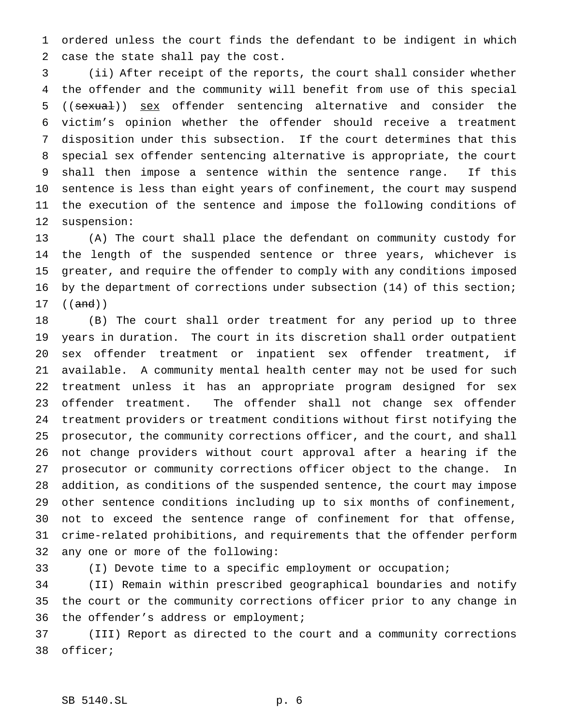ordered unless the court finds the defendant to be indigent in which case the state shall pay the cost.

 (ii) After receipt of the reports, the court shall consider whether the offender and the community will benefit from use of this special 5 ((sexual)) sex offender sentencing alternative and consider the victim's opinion whether the offender should receive a treatment disposition under this subsection. If the court determines that this special sex offender sentencing alternative is appropriate, the court shall then impose a sentence within the sentence range. If this sentence is less than eight years of confinement, the court may suspend the execution of the sentence and impose the following conditions of suspension:

 (A) The court shall place the defendant on community custody for the length of the suspended sentence or three years, whichever is greater, and require the offender to comply with any conditions imposed by the department of corrections under subsection (14) of this section; ((and))

 (B) The court shall order treatment for any period up to three years in duration. The court in its discretion shall order outpatient sex offender treatment or inpatient sex offender treatment, if available. A community mental health center may not be used for such treatment unless it has an appropriate program designed for sex offender treatment. The offender shall not change sex offender treatment providers or treatment conditions without first notifying the prosecutor, the community corrections officer, and the court, and shall not change providers without court approval after a hearing if the prosecutor or community corrections officer object to the change. In addition, as conditions of the suspended sentence, the court may impose other sentence conditions including up to six months of confinement, not to exceed the sentence range of confinement for that offense, crime-related prohibitions, and requirements that the offender perform any one or more of the following:

(I) Devote time to a specific employment or occupation;

 (II) Remain within prescribed geographical boundaries and notify the court or the community corrections officer prior to any change in the offender's address or employment;

 (III) Report as directed to the court and a community corrections officer;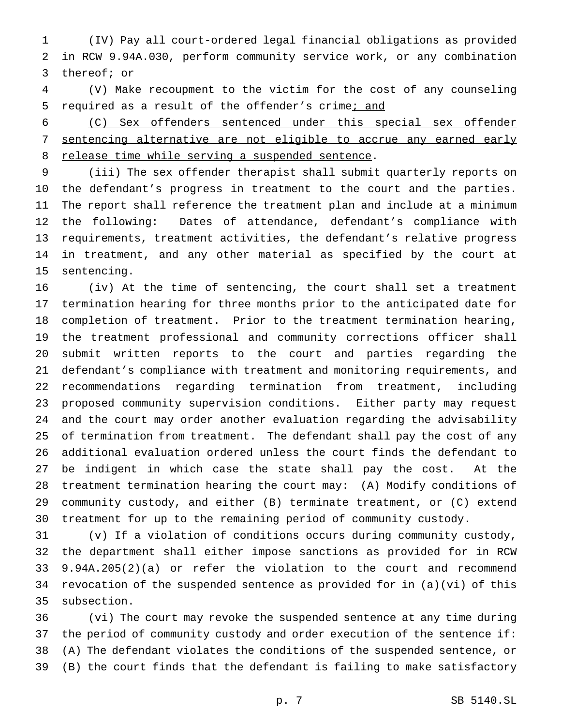(IV) Pay all court-ordered legal financial obligations as provided in RCW 9.94A.030, perform community service work, or any combination thereof; or

 (V) Make recoupment to the victim for the cost of any counseling 5 required as a result of the offender's crime; and

 (C) Sex offenders sentenced under this special sex offender sentencing alternative are not eligible to accrue any earned early 8 release time while serving a suspended sentence.

 (iii) The sex offender therapist shall submit quarterly reports on the defendant's progress in treatment to the court and the parties. The report shall reference the treatment plan and include at a minimum the following: Dates of attendance, defendant's compliance with requirements, treatment activities, the defendant's relative progress in treatment, and any other material as specified by the court at sentencing.

 (iv) At the time of sentencing, the court shall set a treatment termination hearing for three months prior to the anticipated date for completion of treatment. Prior to the treatment termination hearing, the treatment professional and community corrections officer shall submit written reports to the court and parties regarding the defendant's compliance with treatment and monitoring requirements, and recommendations regarding termination from treatment, including proposed community supervision conditions. Either party may request and the court may order another evaluation regarding the advisability of termination from treatment. The defendant shall pay the cost of any additional evaluation ordered unless the court finds the defendant to be indigent in which case the state shall pay the cost. At the treatment termination hearing the court may: (A) Modify conditions of community custody, and either (B) terminate treatment, or (C) extend treatment for up to the remaining period of community custody.

 (v) If a violation of conditions occurs during community custody, the department shall either impose sanctions as provided for in RCW 9.94A.205(2)(a) or refer the violation to the court and recommend revocation of the suspended sentence as provided for in (a)(vi) of this subsection.

 (vi) The court may revoke the suspended sentence at any time during the period of community custody and order execution of the sentence if: (A) The defendant violates the conditions of the suspended sentence, or (B) the court finds that the defendant is failing to make satisfactory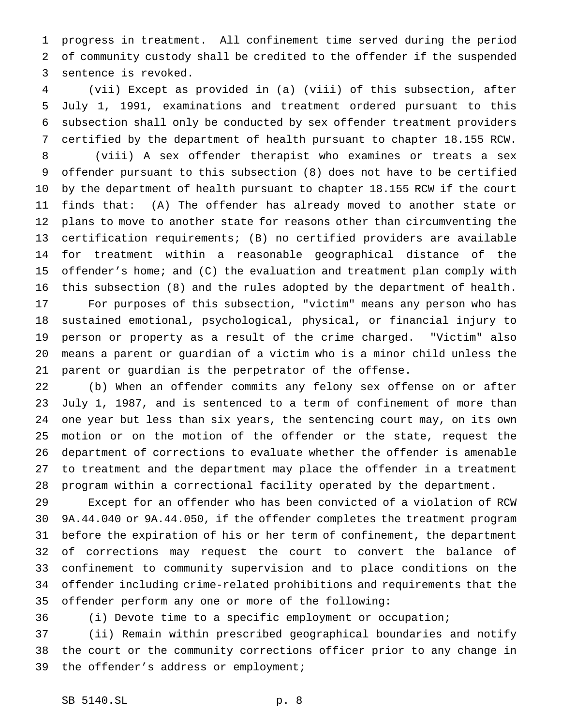progress in treatment. All confinement time served during the period of community custody shall be credited to the offender if the suspended sentence is revoked.

 (vii) Except as provided in (a) (viii) of this subsection, after July 1, 1991, examinations and treatment ordered pursuant to this subsection shall only be conducted by sex offender treatment providers certified by the department of health pursuant to chapter 18.155 RCW.

 (viii) A sex offender therapist who examines or treats a sex offender pursuant to this subsection (8) does not have to be certified by the department of health pursuant to chapter 18.155 RCW if the court finds that: (A) The offender has already moved to another state or plans to move to another state for reasons other than circumventing the certification requirements; (B) no certified providers are available for treatment within a reasonable geographical distance of the offender's home; and (C) the evaluation and treatment plan comply with this subsection (8) and the rules adopted by the department of health.

 For purposes of this subsection, "victim" means any person who has sustained emotional, psychological, physical, or financial injury to person or property as a result of the crime charged. "Victim" also means a parent or guardian of a victim who is a minor child unless the parent or guardian is the perpetrator of the offense.

 (b) When an offender commits any felony sex offense on or after July 1, 1987, and is sentenced to a term of confinement of more than one year but less than six years, the sentencing court may, on its own motion or on the motion of the offender or the state, request the department of corrections to evaluate whether the offender is amenable to treatment and the department may place the offender in a treatment program within a correctional facility operated by the department.

 Except for an offender who has been convicted of a violation of RCW 9A.44.040 or 9A.44.050, if the offender completes the treatment program before the expiration of his or her term of confinement, the department of corrections may request the court to convert the balance of confinement to community supervision and to place conditions on the offender including crime-related prohibitions and requirements that the offender perform any one or more of the following:

(i) Devote time to a specific employment or occupation;

 (ii) Remain within prescribed geographical boundaries and notify the court or the community corrections officer prior to any change in the offender's address or employment;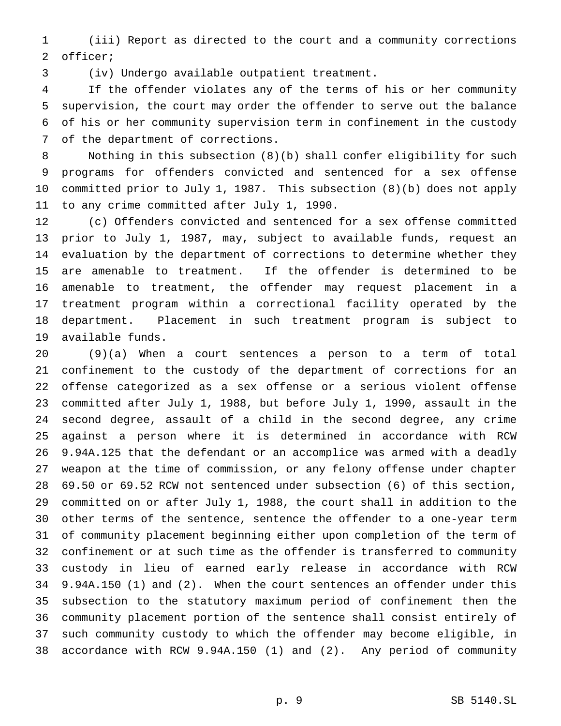(iii) Report as directed to the court and a community corrections officer;

(iv) Undergo available outpatient treatment.

 If the offender violates any of the terms of his or her community supervision, the court may order the offender to serve out the balance of his or her community supervision term in confinement in the custody of the department of corrections.

 Nothing in this subsection (8)(b) shall confer eligibility for such programs for offenders convicted and sentenced for a sex offense committed prior to July 1, 1987. This subsection (8)(b) does not apply to any crime committed after July 1, 1990.

 (c) Offenders convicted and sentenced for a sex offense committed prior to July 1, 1987, may, subject to available funds, request an evaluation by the department of corrections to determine whether they are amenable to treatment. If the offender is determined to be amenable to treatment, the offender may request placement in a treatment program within a correctional facility operated by the department. Placement in such treatment program is subject to available funds.

 (9)(a) When a court sentences a person to a term of total confinement to the custody of the department of corrections for an offense categorized as a sex offense or a serious violent offense committed after July 1, 1988, but before July 1, 1990, assault in the second degree, assault of a child in the second degree, any crime against a person where it is determined in accordance with RCW 9.94A.125 that the defendant or an accomplice was armed with a deadly weapon at the time of commission, or any felony offense under chapter 69.50 or 69.52 RCW not sentenced under subsection (6) of this section, committed on or after July 1, 1988, the court shall in addition to the other terms of the sentence, sentence the offender to a one-year term of community placement beginning either upon completion of the term of confinement or at such time as the offender is transferred to community custody in lieu of earned early release in accordance with RCW 9.94A.150 (1) and (2). When the court sentences an offender under this subsection to the statutory maximum period of confinement then the community placement portion of the sentence shall consist entirely of such community custody to which the offender may become eligible, in accordance with RCW 9.94A.150 (1) and (2). Any period of community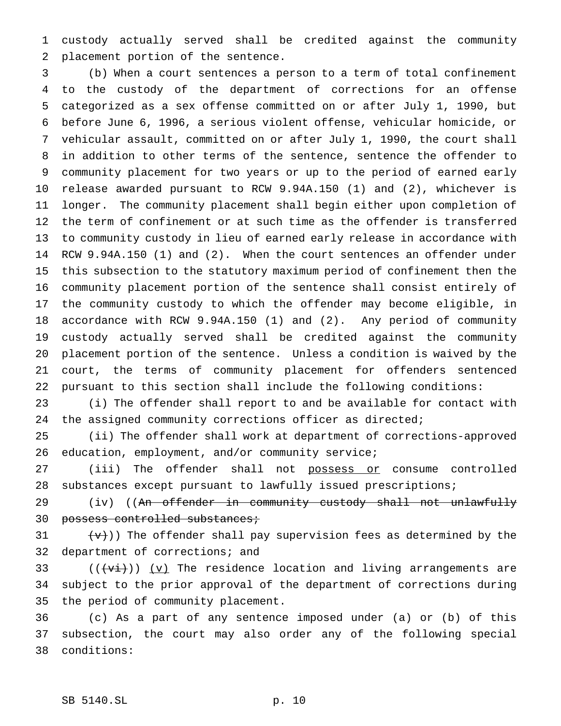custody actually served shall be credited against the community placement portion of the sentence.

 (b) When a court sentences a person to a term of total confinement to the custody of the department of corrections for an offense categorized as a sex offense committed on or after July 1, 1990, but before June 6, 1996, a serious violent offense, vehicular homicide, or vehicular assault, committed on or after July 1, 1990, the court shall in addition to other terms of the sentence, sentence the offender to community placement for two years or up to the period of earned early release awarded pursuant to RCW 9.94A.150 (1) and (2), whichever is longer. The community placement shall begin either upon completion of the term of confinement or at such time as the offender is transferred to community custody in lieu of earned early release in accordance with RCW 9.94A.150 (1) and (2). When the court sentences an offender under this subsection to the statutory maximum period of confinement then the community placement portion of the sentence shall consist entirely of the community custody to which the offender may become eligible, in accordance with RCW 9.94A.150 (1) and (2). Any period of community custody actually served shall be credited against the community placement portion of the sentence. Unless a condition is waived by the court, the terms of community placement for offenders sentenced pursuant to this section shall include the following conditions:

 (i) The offender shall report to and be available for contact with the assigned community corrections officer as directed;

 (ii) The offender shall work at department of corrections-approved education, employment, and/or community service;

27 (iii) The offender shall not possess or consume controlled substances except pursuant to lawfully issued prescriptions;

29 (iv) ((An offender in community custody shall not unlawfully 30 possess controlled substances;

31  $(v+)(v)$  The offender shall pay supervision fees as determined by the 32 department of corrections; and

33 ( $(\overrightarrow{v_i})$ ) (v) The residence location and living arrangements are subject to the prior approval of the department of corrections during the period of community placement.

 (c) As a part of any sentence imposed under (a) or (b) of this subsection, the court may also order any of the following special conditions: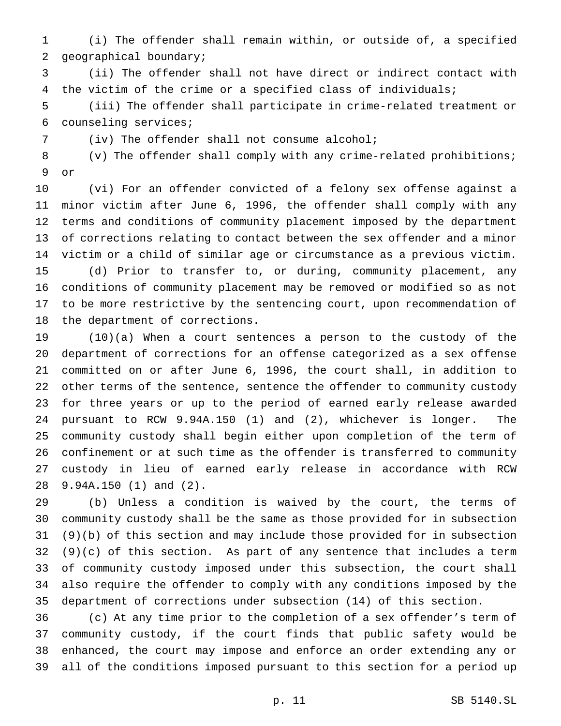(i) The offender shall remain within, or outside of, a specified geographical boundary;

 (ii) The offender shall not have direct or indirect contact with the victim of the crime or a specified class of individuals;

 (iii) The offender shall participate in crime-related treatment or counseling services;

(iv) The offender shall not consume alcohol;

 (v) The offender shall comply with any crime-related prohibitions; or

 (vi) For an offender convicted of a felony sex offense against a minor victim after June 6, 1996, the offender shall comply with any terms and conditions of community placement imposed by the department of corrections relating to contact between the sex offender and a minor victim or a child of similar age or circumstance as a previous victim. (d) Prior to transfer to, or during, community placement, any conditions of community placement may be removed or modified so as not to be more restrictive by the sentencing court, upon recommendation of the department of corrections.

 (10)(a) When a court sentences a person to the custody of the department of corrections for an offense categorized as a sex offense committed on or after June 6, 1996, the court shall, in addition to other terms of the sentence, sentence the offender to community custody for three years or up to the period of earned early release awarded pursuant to RCW 9.94A.150 (1) and (2), whichever is longer. The community custody shall begin either upon completion of the term of confinement or at such time as the offender is transferred to community custody in lieu of earned early release in accordance with RCW 9.94A.150 (1) and (2).

 (b) Unless a condition is waived by the court, the terms of community custody shall be the same as those provided for in subsection (9)(b) of this section and may include those provided for in subsection (9)(c) of this section. As part of any sentence that includes a term of community custody imposed under this subsection, the court shall also require the offender to comply with any conditions imposed by the department of corrections under subsection (14) of this section.

 (c) At any time prior to the completion of a sex offender's term of community custody, if the court finds that public safety would be enhanced, the court may impose and enforce an order extending any or all of the conditions imposed pursuant to this section for a period up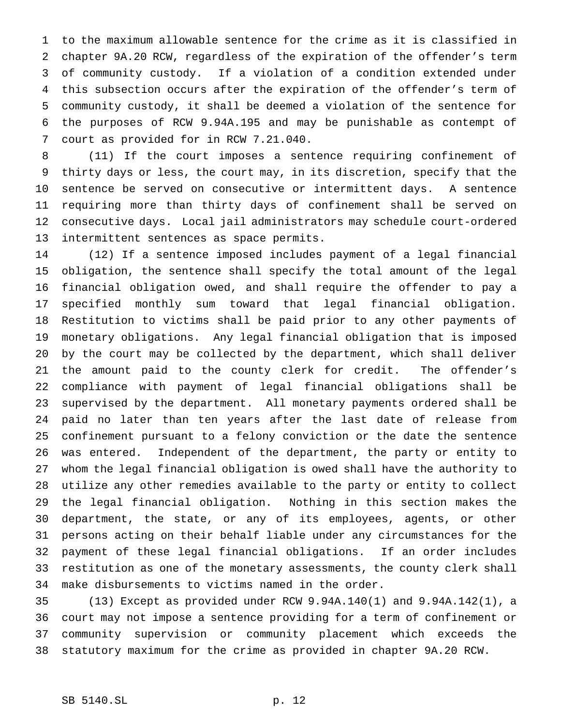to the maximum allowable sentence for the crime as it is classified in chapter 9A.20 RCW, regardless of the expiration of the offender's term of community custody. If a violation of a condition extended under this subsection occurs after the expiration of the offender's term of community custody, it shall be deemed a violation of the sentence for the purposes of RCW 9.94A.195 and may be punishable as contempt of court as provided for in RCW 7.21.040.

 (11) If the court imposes a sentence requiring confinement of thirty days or less, the court may, in its discretion, specify that the sentence be served on consecutive or intermittent days. A sentence requiring more than thirty days of confinement shall be served on consecutive days. Local jail administrators may schedule court-ordered intermittent sentences as space permits.

 (12) If a sentence imposed includes payment of a legal financial obligation, the sentence shall specify the total amount of the legal financial obligation owed, and shall require the offender to pay a specified monthly sum toward that legal financial obligation. Restitution to victims shall be paid prior to any other payments of monetary obligations. Any legal financial obligation that is imposed by the court may be collected by the department, which shall deliver the amount paid to the county clerk for credit. The offender's compliance with payment of legal financial obligations shall be supervised by the department. All monetary payments ordered shall be paid no later than ten years after the last date of release from confinement pursuant to a felony conviction or the date the sentence was entered. Independent of the department, the party or entity to whom the legal financial obligation is owed shall have the authority to utilize any other remedies available to the party or entity to collect the legal financial obligation. Nothing in this section makes the department, the state, or any of its employees, agents, or other persons acting on their behalf liable under any circumstances for the payment of these legal financial obligations. If an order includes restitution as one of the monetary assessments, the county clerk shall make disbursements to victims named in the order.

 (13) Except as provided under RCW 9.94A.140(1) and 9.94A.142(1), a court may not impose a sentence providing for a term of confinement or community supervision or community placement which exceeds the statutory maximum for the crime as provided in chapter 9A.20 RCW.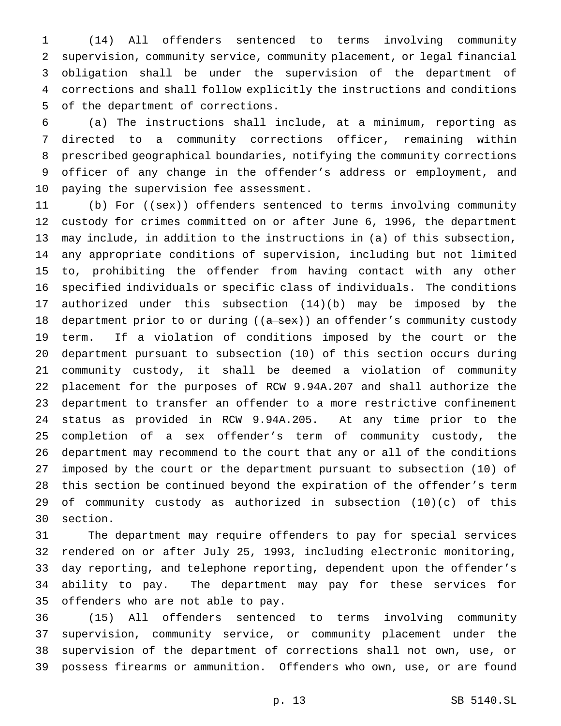(14) All offenders sentenced to terms involving community supervision, community service, community placement, or legal financial obligation shall be under the supervision of the department of corrections and shall follow explicitly the instructions and conditions of the department of corrections.

 (a) The instructions shall include, at a minimum, reporting as directed to a community corrections officer, remaining within prescribed geographical boundaries, notifying the community corrections officer of any change in the offender's address or employment, and paying the supervision fee assessment.

11 (b) For ((sex)) offenders sentenced to terms involving community custody for crimes committed on or after June 6, 1996, the department may include, in addition to the instructions in (a) of this subsection, any appropriate conditions of supervision, including but not limited to, prohibiting the offender from having contact with any other specified individuals or specific class of individuals. The conditions authorized under this subsection (14)(b) may be imposed by the 18 department prior to or during ((a sex)) an offender's community custody term. If a violation of conditions imposed by the court or the department pursuant to subsection (10) of this section occurs during community custody, it shall be deemed a violation of community placement for the purposes of RCW 9.94A.207 and shall authorize the department to transfer an offender to a more restrictive confinement status as provided in RCW 9.94A.205. At any time prior to the completion of a sex offender's term of community custody, the department may recommend to the court that any or all of the conditions imposed by the court or the department pursuant to subsection (10) of this section be continued beyond the expiration of the offender's term of community custody as authorized in subsection (10)(c) of this section.

 The department may require offenders to pay for special services rendered on or after July 25, 1993, including electronic monitoring, day reporting, and telephone reporting, dependent upon the offender's ability to pay. The department may pay for these services for offenders who are not able to pay.

 (15) All offenders sentenced to terms involving community supervision, community service, or community placement under the supervision of the department of corrections shall not own, use, or possess firearms or ammunition. Offenders who own, use, or are found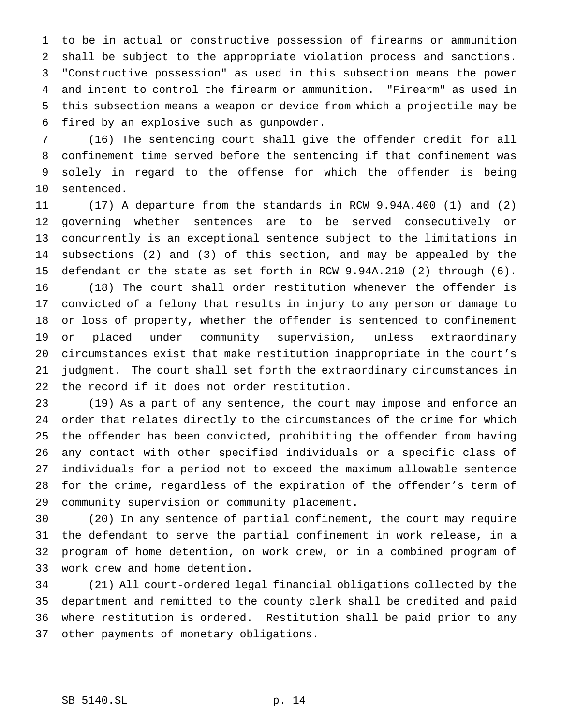to be in actual or constructive possession of firearms or ammunition shall be subject to the appropriate violation process and sanctions. "Constructive possession" as used in this subsection means the power and intent to control the firearm or ammunition. "Firearm" as used in this subsection means a weapon or device from which a projectile may be fired by an explosive such as gunpowder.

 (16) The sentencing court shall give the offender credit for all confinement time served before the sentencing if that confinement was solely in regard to the offense for which the offender is being sentenced.

 (17) A departure from the standards in RCW 9.94A.400 (1) and (2) governing whether sentences are to be served consecutively or concurrently is an exceptional sentence subject to the limitations in subsections (2) and (3) of this section, and may be appealed by the defendant or the state as set forth in RCW 9.94A.210 (2) through (6). (18) The court shall order restitution whenever the offender is convicted of a felony that results in injury to any person or damage to or loss of property, whether the offender is sentenced to confinement or placed under community supervision, unless extraordinary circumstances exist that make restitution inappropriate in the court's judgment. The court shall set forth the extraordinary circumstances in the record if it does not order restitution.

 (19) As a part of any sentence, the court may impose and enforce an order that relates directly to the circumstances of the crime for which the offender has been convicted, prohibiting the offender from having any contact with other specified individuals or a specific class of individuals for a period not to exceed the maximum allowable sentence for the crime, regardless of the expiration of the offender's term of community supervision or community placement.

 (20) In any sentence of partial confinement, the court may require the defendant to serve the partial confinement in work release, in a program of home detention, on work crew, or in a combined program of work crew and home detention.

 (21) All court-ordered legal financial obligations collected by the department and remitted to the county clerk shall be credited and paid where restitution is ordered. Restitution shall be paid prior to any other payments of monetary obligations.